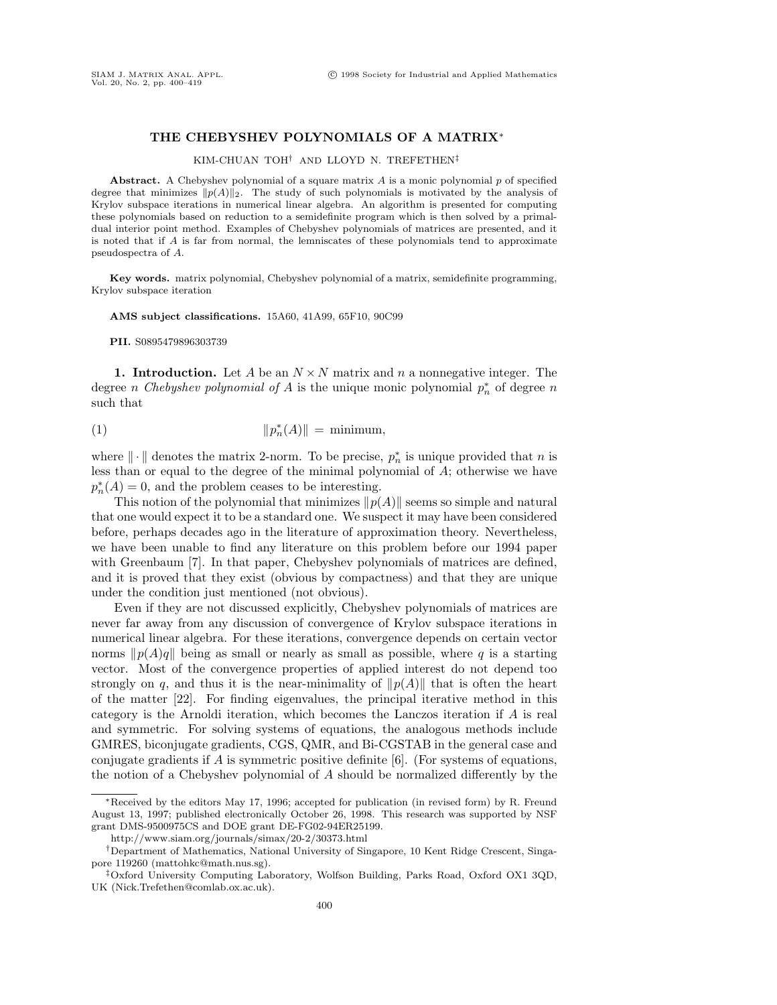## **THE CHEBYSHEV POLYNOMIALS OF A MATRIX**<sup>∗</sup>

## KIM-CHUAN TOH† AND LLOYD N. TREFETHEN‡

Abstract. A Chebyshev polynomial of a square matrix A is a monic polynomial p of specified degree that minimizes  $\|p(A)\|_2$ . The study of such polynomials is motivated by the analysis of Krylov subspace iterations in numerical linear algebra. An algorithm is presented for computing these polynomials based on reduction to a semidefinite program which is then solved by a primaldual interior point method. Examples of Chebyshev polynomials of matrices are presented, and it is noted that if A is far from normal, the lemniscates of these polynomials tend to approximate pseudospectra of A.

**Key words.** matrix polynomial, Chebyshev polynomial of a matrix, semidefinite programming, Krylov subspace iteration

**AMS subject classifications.** 15A60, 41A99, 65F10, 90C99

**PII.** S0895479896303739

**1. Introduction.** Let A be an  $N \times N$  matrix and n a nonnegative integer. The degree *n* Chebyshev polynomial of A is the unique monic polynomial  $p_n^*$  of degree n such that

$$
||p_n^*(A)|| = \text{minimum},
$$

where  $\|\cdot\|$  denotes the matrix 2-norm. To be precise,  $p_n^*$  is unique provided that n is less than or equal to the degree of the minimal polynomial of A; otherwise we have  $p_n^*(A) = 0$ , and the problem ceases to be interesting.

This notion of the polynomial that minimizes  $\|p(A)\|$  seems so simple and natural that one would expect it to be a standard one. We suspect it may have been considered before, perhaps decades ago in the literature of approximation theory. Nevertheless, we have been unable to find any literature on this problem before our 1994 paper with Greenbaum [7]. In that paper, Chebyshev polynomials of matrices are defined, and it is proved that they exist (obvious by compactness) and that they are unique under the condition just mentioned (not obvious).

Even if they are not discussed explicitly, Chebyshev polynomials of matrices are never far away from any discussion of convergence of Krylov subspace iterations in numerical linear algebra. For these iterations, convergence depends on certain vector norms  $\|p(A)q\|$  being as small or nearly as small as possible, where q is a starting vector. Most of the convergence properties of applied interest do not depend too strongly on q, and thus it is the near-minimality of  $||p(A)||$  that is often the heart of the matter [22]. For finding eigenvalues, the principal iterative method in this category is the Arnoldi iteration, which becomes the Lanczos iteration if A is real and symmetric. For solving systems of equations, the analogous methods include GMRES, biconjugate gradients, CGS, QMR, and Bi-CGSTAB in the general case and conjugate gradients if  $A$  is symmetric positive definite  $[6]$ . (For systems of equations, the notion of a Chebyshev polynomial of A should be normalized differently by the

<sup>∗</sup>Received by the editors May 17, 1996; accepted for publication (in revised form) by R. Freund August 13, 1997; published electronically October 26, 1998. This research was supported by NSF grant DMS-9500975CS and DOE grant DE-FG02-94ER25199.

http://www.siam.org/journals/simax/20-2/30373.html

<sup>†</sup>Department of Mathematics, National University of Singapore, 10 Kent Ridge Crescent, Singapore 119260 (mattohkc@math.nus.sg).

<sup>‡</sup>Oxford University Computing Laboratory, Wolfson Building, Parks Road, Oxford OX1 3QD, UK (Nick.Trefethen@comlab.ox.ac.uk).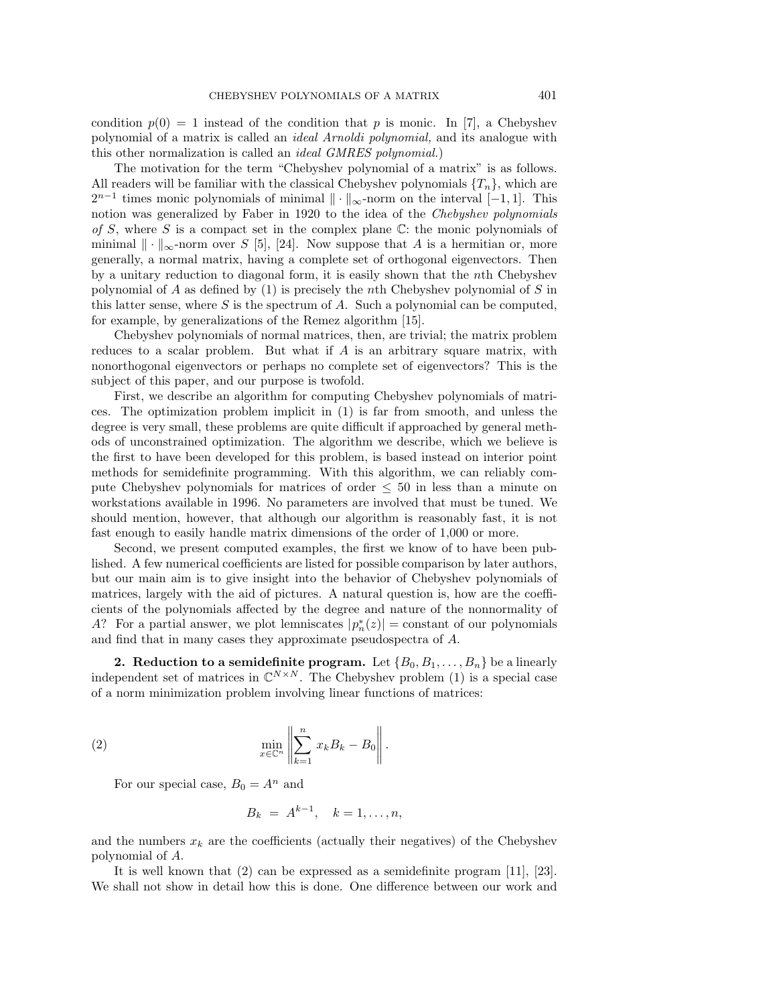condition  $p(0) = 1$  instead of the condition that p is monic. In [7], a Chebyshev polynomial of a matrix is called an ideal Arnoldi polynomial, and its analogue with this other normalization is called an ideal GMRES polynomial.)

The motivation for the term "Chebyshev polynomial of a matrix" is as follows. All readers will be familiar with the classical Chebyshev polynomials  $\{T_n\}$ , which are  $2^{n-1}$  times monic polynomials of minimal  $\|\cdot\|_{\infty}$ -norm on the interval [−1, 1]. This notion was generalized by Faber in 1920 to the idea of the Chebyshev polynomials of S, where S is a compact set in the complex plane  $\mathbb{C}$ : the monic polynomials of minimal  $\|\cdot\|_{\infty}$ -norm over S [5], [24]. Now suppose that A is a hermitian or, more generally, a normal matrix, having a complete set of orthogonal eigenvectors. Then by a unitary reduction to diagonal form, it is easily shown that the nth Chebyshev polynomial of A as defined by  $(1)$  is precisely the nth Chebyshev polynomial of S in this latter sense, where  $S$  is the spectrum of  $A$ . Such a polynomial can be computed, for example, by generalizations of the Remez algorithm [15].

Chebyshev polynomials of normal matrices, then, are trivial; the matrix problem reduces to a scalar problem. But what if A is an arbitrary square matrix, with nonorthogonal eigenvectors or perhaps no complete set of eigenvectors? This is the subject of this paper, and our purpose is twofold.

First, we describe an algorithm for computing Chebyshev polynomials of matrices. The optimization problem implicit in (1) is far from smooth, and unless the degree is very small, these problems are quite difficult if approached by general methods of unconstrained optimization. The algorithm we describe, which we believe is the first to have been developed for this problem, is based instead on interior point methods for semidefinite programming. With this algorithm, we can reliably compute Chebyshev polynomials for matrices of order  $\leq 50$  in less than a minute on workstations available in 1996. No parameters are involved that must be tuned. We should mention, however, that although our algorithm is reasonably fast, it is not fast enough to easily handle matrix dimensions of the order of 1,000 or more.

Second, we present computed examples, the first we know of to have been published. A few numerical coefficients are listed for possible comparison by later authors, but our main aim is to give insight into the behavior of Chebyshev polynomials of matrices, largely with the aid of pictures. A natural question is, how are the coefficients of the polynomials affected by the degree and nature of the nonnormality of A? For a partial answer, we plot lemniscates  $|p_n^*(z)| =$ constant of our polynomials and find that in many cases they approximate pseudospectra of A.

**2. Reduction to a semidefinite program.** Let  $\{B_0, B_1, \ldots, B_n\}$  be a linearly independent set of matrices in  $\mathbb{C}^{N \times N}$ . The Chebyshev problem (1) is a special case of a norm minimization problem involving linear functions of matrices:

(2) 
$$
\min_{x \in \mathbb{C}^n} \left\| \sum_{k=1}^n x_k B_k - B_0 \right\|.
$$

For our special case,  $B_0 = A^n$  and

$$
B_k = A^{k-1}, \quad k = 1, \ldots, n,
$$

and the numbers  $x_k$  are the coefficients (actually their negatives) of the Chebyshev polynomial of A.

It is well known that (2) can be expressed as a semidefinite program [11], [23]. We shall not show in detail how this is done. One difference between our work and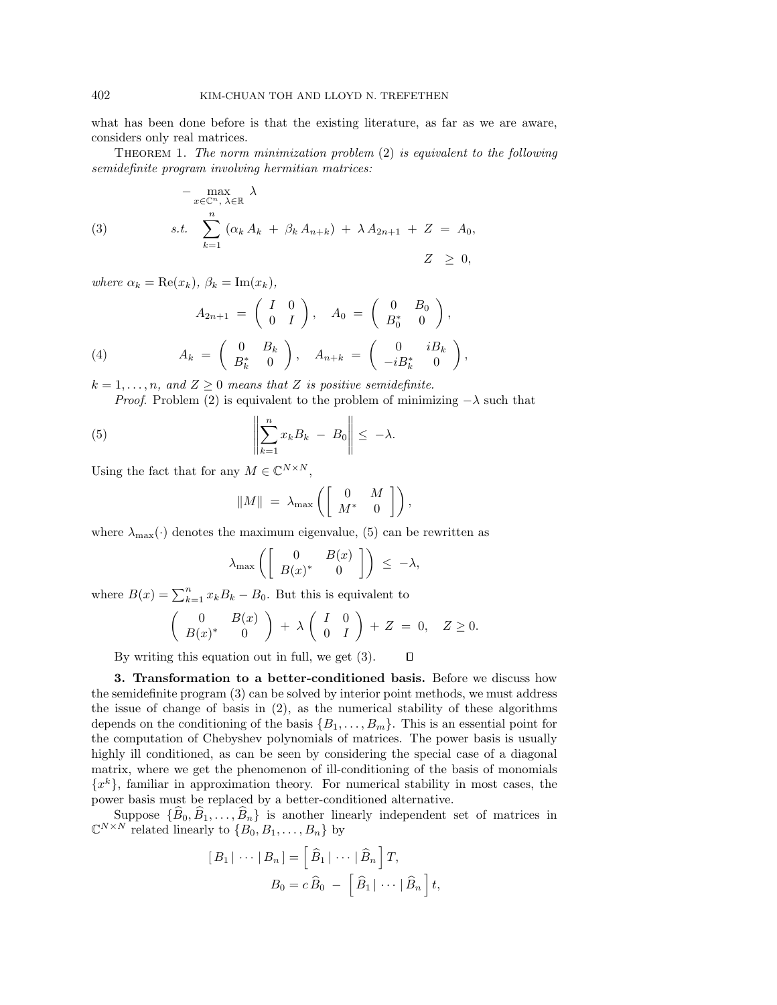what has been done before is that the existing literature, as far as we are aware, considers only real matrices.

THEOREM 1. The norm minimization problem  $(2)$  is equivalent to the following semidefinite program involving hermitian matrices:

$$
-\max_{x \in \mathbb{C}^n, \lambda \in \mathbb{R}} \lambda
$$
  
(3) 
$$
s.t. \sum_{k=1}^n (\alpha_k A_k + \beta_k A_{n+k}) + \lambda A_{2n+1} + Z = A_0,
$$

$$
Z \geq 0,
$$

where  $\alpha_k = \text{Re}(x_k)$ ,  $\beta_k = \text{Im}(x_k)$ ,

$$
A_{2n+1} = \begin{pmatrix} I & 0 \\ 0 & I \end{pmatrix}, A_0 = \begin{pmatrix} 0 & B_0 \\ B_0^* & 0 \end{pmatrix},
$$

(4) 
$$
A_k = \begin{pmatrix} 0 & B_k \\ B_k^* & 0 \end{pmatrix}, \quad A_{n+k} = \begin{pmatrix} 0 & iB_k \\ -iB_k^* & 0 \end{pmatrix},
$$

 $k = 1, \ldots, n$ , and  $Z \geq 0$  means that Z is positive semidefinite.

*Proof.* Problem (2) is equivalent to the problem of minimizing  $-\lambda$  such that

(5) 
$$
\left\| \sum_{k=1}^n x_k B_k - B_0 \right\| \leq -\lambda.
$$

Using the fact that for any  $M \in \mathbb{C}^{N \times N}$ ,

$$
||M|| = \lambda_{\max} \left( \left[ \begin{array}{cc} 0 & M \\ M^* & 0 \end{array} \right] \right),
$$

where  $\lambda_{\text{max}}(\cdot)$  denotes the maximum eigenvalue, (5) can be rewritten as

$$
\lambda_{\max}\left(\left[\begin{array}{cc} 0 & B(x) \\ B(x)^* & 0 \end{array}\right]\right) \leq -\lambda,
$$

where  $B(x) = \sum_{k=1}^{n} x_k B_k - B_0$ . But this is equivalent to

$$
\left(\begin{array}{cc}0&B(x)\\B(x)^*&0\end{array}\right) + \lambda \left(\begin{array}{cc}I&0\\0&I\end{array}\right) + Z = 0, \quad Z \ge 0.
$$

By writing this equation out in full, we get (3).  $\Box$ 

**3. Transformation to a better-conditioned basis.** Before we discuss how the semidefinite program (3) can be solved by interior point methods, we must address the issue of change of basis in (2), as the numerical stability of these algorithms depends on the conditioning of the basis  $\{B_1,\ldots,B_m\}$ . This is an essential point for the computation of Chebyshev polynomials of matrices. The power basis is usually highly ill conditioned, as can be seen by considering the special case of a diagonal matrix, where we get the phenomenon of ill-conditioning of the basis of monomials  ${x<sup>k</sup>}$ , familiar in approximation theory. For numerical stability in most cases, the power basis must be replaced by a better-conditioned alternative.

Suppose  $\{B_0, B_1, \ldots, B_n\}$  is another linearly independent set of matrices in  $\mathbb{C}^{N\times N}$  related linearly to  $\{B_0, B_1, \ldots, B_n\}$  by

$$
[B_1 | \cdots | B_n] = \left[\widehat{B}_1 | \cdots | \widehat{B}_n\right]T,
$$
  

$$
B_0 = c \widehat{B}_0 - \left[\widehat{B}_1 | \cdots | \widehat{B}_n\right]t,
$$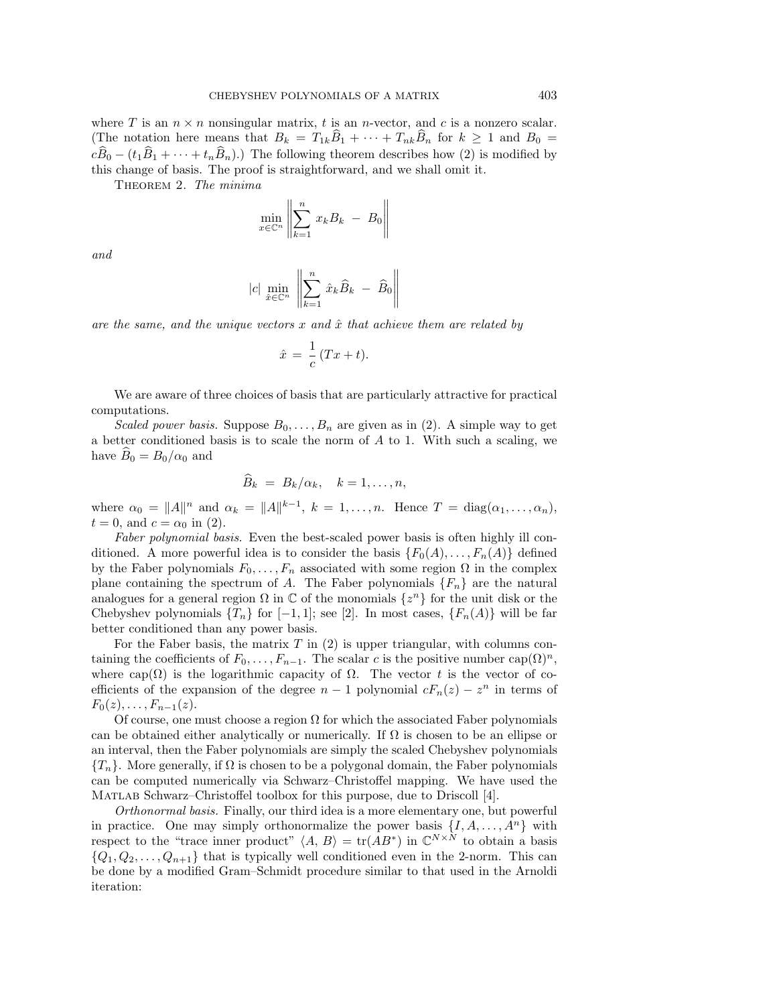where T is an  $n \times n$  nonsingular matrix, t is an n-vector, and c is a nonzero scalar. (The notation here means that  $B_k = T_{1k}B_1 + \cdots + T_{nk}B_n$  for  $k \ge 1$  and  $B_0 =$  $c\widehat{B}_0 - (t_1\widehat{B}_1 + \cdots + t_n\widehat{B}_n).$  The following theorem describes how (2) is modified by this change of basis. The proof is straightforward, and we shall omit it.

THEOREM 2. The minima

$$
\min_{x \in \mathbb{C}^n} \left\| \sum_{k=1}^n x_k B_k - B_0 \right\|
$$

and

$$
|c| \min_{\hat{x} \in \mathbb{C}^n} \left\| \sum_{k=1}^n \hat{x}_k \hat{B}_k - \hat{B}_0 \right\|
$$

are the same, and the unique vectors x and  $\hat{x}$  that achieve them are related by

$$
\hat{x} = \frac{1}{c} (Tx + t).
$$

We are aware of three choices of basis that are particularly attractive for practical computations.

Scaled power basis. Suppose  $B_0, \ldots, B_n$  are given as in (2). A simple way to get a better conditioned basis is to scale the norm of A to 1. With such a scaling, we have  $B_0 = B_0/\alpha_0$  and

$$
\widehat{B}_k = B_k/\alpha_k, \quad k = 1, \dots, n,
$$

where  $\alpha_0 = ||A||^n$  and  $\alpha_k = ||A||^{k-1}$ ,  $k = 1, \ldots, n$ . Hence  $T = \text{diag}(\alpha_1, \ldots, \alpha_n)$ ,  $t = 0$ , and  $c = \alpha_0$  in (2).

Faber polynomial basis. Even the best-scaled power basis is often highly ill conditioned. A more powerful idea is to consider the basis  $\{F_0(A),...,F_n(A)\}\$  defined by the Faber polynomials  $F_0, \ldots, F_n$  associated with some region  $\Omega$  in the complex plane containing the spectrum of A. The Faber polynomials  ${F_n}$  are the natural analogues for a general region  $\Omega$  in  $\mathbb C$  of the monomials  $\{z^n\}$  for the unit disk or the Chebyshev polynomials  $\{T_n\}$  for  $[-1, 1]$ ; see [2]. In most cases,  $\{F_n(A)\}$  will be far better conditioned than any power basis.

For the Faber basis, the matrix  $T$  in  $(2)$  is upper triangular, with columns containing the coefficients of  $F_0,\ldots,F_{n-1}$ . The scalar c is the positive number cap $(\Omega)^n$ , where cap( $\Omega$ ) is the logarithmic capacity of  $\Omega$ . The vector t is the vector of coefficients of the expansion of the degree  $n-1$  polynomial  $cF_n(z) - z^n$  in terms of  $F_0(z),\ldots,F_{n-1}(z).$ 

Of course, one must choose a region  $\Omega$  for which the associated Faber polynomials can be obtained either analytically or numerically. If  $\Omega$  is chosen to be an ellipse or an interval, then the Faber polynomials are simply the scaled Chebyshev polynomials  ${T_n}$ . More generally, if  $\Omega$  is chosen to be a polygonal domain, the Faber polynomials can be computed numerically via Schwarz–Christoffel mapping. We have used the Matlab Schwarz–Christoffel toolbox for this purpose, due to Driscoll [4].

Orthonormal basis. Finally, our third idea is a more elementary one, but powerful in practice. One may simply orthonormalize the power basis  $\{I, A, \ldots, A^n\}$  with respect to the "trace inner product"  $\langle A, B \rangle = \text{tr}(AB^*)$  in  $\mathbb{C}^{N \times N}$  to obtain a basis  ${Q_1, Q_2, \ldots, Q_{n+1}}$  that is typically well conditioned even in the 2-norm. This can be done by a modified Gram–Schmidt procedure similar to that used in the Arnoldi iteration: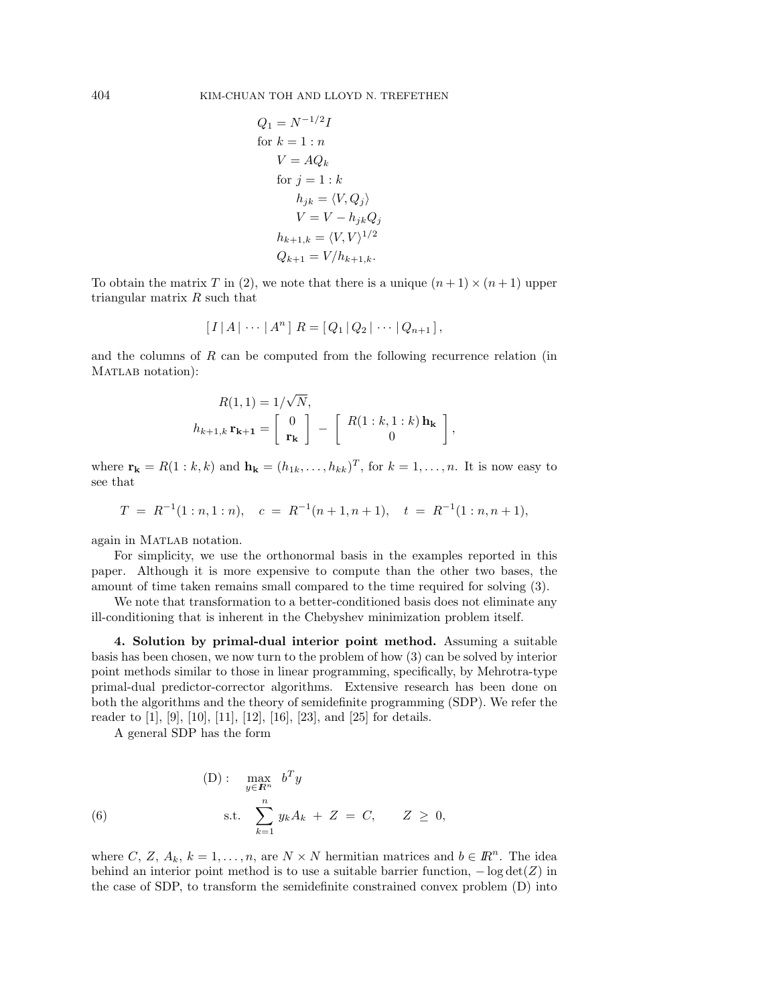$$
Q_1 = N^{-1/2}I
$$
  
for  $k = 1 : n$   

$$
V = AQ_k
$$
  
for  $j = 1 : k$   

$$
h_{jk} = \langle V, Q_j \rangle
$$
  

$$
V = V - h_{jk}Q_j
$$
  

$$
h_{k+1,k} = \langle V, V \rangle^{1/2}
$$
  

$$
Q_{k+1} = V/h_{k+1,k}.
$$

To obtain the matrix T in (2), we note that there is a unique  $(n + 1) \times (n + 1)$  upper triangular matrix R such that

$$
[I | A | \cdots | An] R = [Q1 | Q2 | \cdots | Qn+1],
$$

and the columns of  $R$  can be computed from the following recurrence relation (in MATLAB notation):

$$
R(1,1) = 1/\sqrt{N},
$$
  

$$
h_{k+1,k} \mathbf{r_{k+1}} = \begin{bmatrix} 0 \\ \mathbf{r_k} \end{bmatrix} - \begin{bmatrix} R(1:k,1:k) \mathbf{h_k} \\ 0 \end{bmatrix}
$$

,

where  $\mathbf{r_k} = R(1 : k, k)$  and  $\mathbf{h_k} = (h_{1k}, \ldots, h_{kk})^T$ , for  $k = 1, \ldots, n$ . It is now easy to see that

$$
T = R^{-1}(1:n,1:n), \quad c = R^{-1}(n+1,n+1), \quad t = R^{-1}(1:n,n+1),
$$

again in MATLAB notation.

For simplicity, we use the orthonormal basis in the examples reported in this paper. Although it is more expensive to compute than the other two bases, the amount of time taken remains small compared to the time required for solving (3).

We note that transformation to a better-conditioned basis does not eliminate any ill-conditioning that is inherent in the Chebyshev minimization problem itself.

**4. Solution by primal-dual interior point method.** Assuming a suitable basis has been chosen, we now turn to the problem of how (3) can be solved by interior point methods similar to those in linear programming, specifically, by Mehrotra-type primal-dual predictor-corrector algorithms. Extensive research has been done on both the algorithms and the theory of semidefinite programming (SDP). We refer the reader to [1], [9], [10], [11], [12], [16], [23], and [25] for details.

A general SDP has the form

(6) 
$$
\max_{y \in \mathbb{R}^n} b^T y
$$
  
\n
$$
\text{s.t. } \sum_{k=1}^n y_k A_k + Z = C, \quad Z \ge 0,
$$

where C, Z,  $A_k$ ,  $k = 1, \ldots, n$ , are  $N \times N$  hermitian matrices and  $b \in \mathbb{R}^n$ . The idea behind an interior point method is to use a suitable barrier function,  $-\log \det(Z)$  in the case of SDP, to transform the semidefinite constrained convex problem (D) into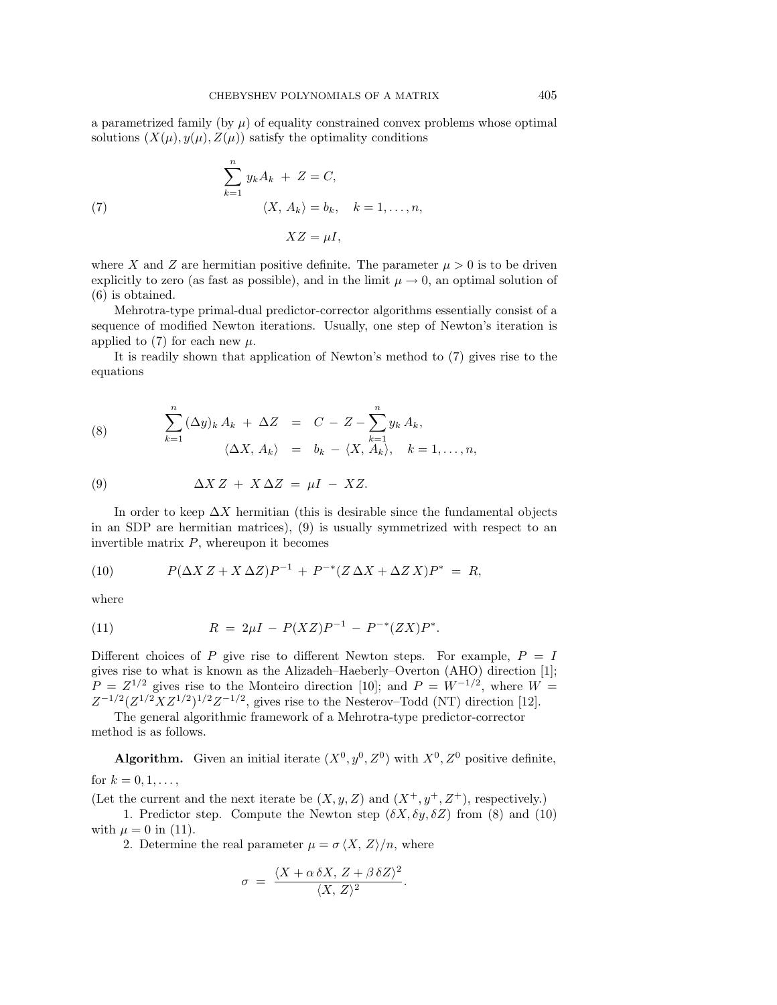a parametrized family (by  $\mu$ ) of equality constrained convex problems whose optimal solutions  $(X(\mu), y(\mu), Z(\mu))$  satisfy the optimality conditions

(7) 
$$
\sum_{k=1}^{n} y_k A_k + Z = C,
$$

$$
\langle X, A_k \rangle = b_k, \quad k = 1, ..., n,
$$

$$
XZ = \mu I,
$$

where X and Z are hermitian positive definite. The parameter  $\mu > 0$  is to be driven explicitly to zero (as fast as possible), and in the limit  $\mu \to 0$ , an optimal solution of (6) is obtained.

Mehrotra-type primal-dual predictor-corrector algorithms essentially consist of a sequence of modified Newton iterations. Usually, one step of Newton's iteration is applied to (7) for each new  $\mu$ .

It is readily shown that application of Newton's method to (7) gives rise to the equations

(8) 
$$
\sum_{k=1}^{n} (\Delta y)_k A_k + \Delta Z = C - Z - \sum_{k=1}^{n} y_k A_k,
$$

$$
\langle \Delta X, A_k \rangle = b_k - \langle X, A_k \rangle, \quad k = 1, ..., n,
$$

(9) 
$$
\Delta X Z + X \Delta Z = \mu I - XZ.
$$

In order to keep  $\Delta X$  hermitian (this is desirable since the fundamental objects in an SDP are hermitian matrices), (9) is usually symmetrized with respect to an invertible matrix  $P$ , whereupon it becomes

(10) 
$$
P(\Delta X Z + X \Delta Z)P^{-1} + P^{-*}(Z \Delta X + \Delta Z X)P^{*} = R,
$$

where

(11) 
$$
R = 2\mu I - P(XZ)P^{-1} - P^{-*}(ZX)P^*.
$$

Different choices of P give rise to different Newton steps. For example,  $P = I$ gives rise to what is known as the Alizadeh–Haeberly–Overton (AHO) direction [1];  $P = Z^{1/2}$  gives rise to the Monteiro direction [10]; and  $P = W^{-1/2}$ , where  $W =$  $Z^{-1/2}(Z^{1/2}XZ^{1/2})^{1/2}Z^{-1/2}$ , gives rise to the Nesterov–Todd (NT) direction [12].

The general algorithmic framework of a Mehrotra-type predictor-corrector method is as follows.

**Algorithm.** Given an initial iterate  $(X^0, y^0, Z^0)$  with  $X^0, Z^0$  positive definite, for  $k = 0, 1, ...,$ 

(Let the current and the next iterate be  $(X, y, Z)$  and  $(X^+, y^+, Z^+)$ , respectively.)

1. Predictor step. Compute the Newton step  $(\delta X, \delta y, \delta Z)$  from (8) and (10) with  $\mu = 0$  in (11).

2. Determine the real parameter  $\mu = \sigma \langle X, Z \rangle / n$ , where

$$
\sigma = \frac{\langle X + \alpha \delta X, Z + \beta \delta Z \rangle^2}{\langle X, Z \rangle^2}.
$$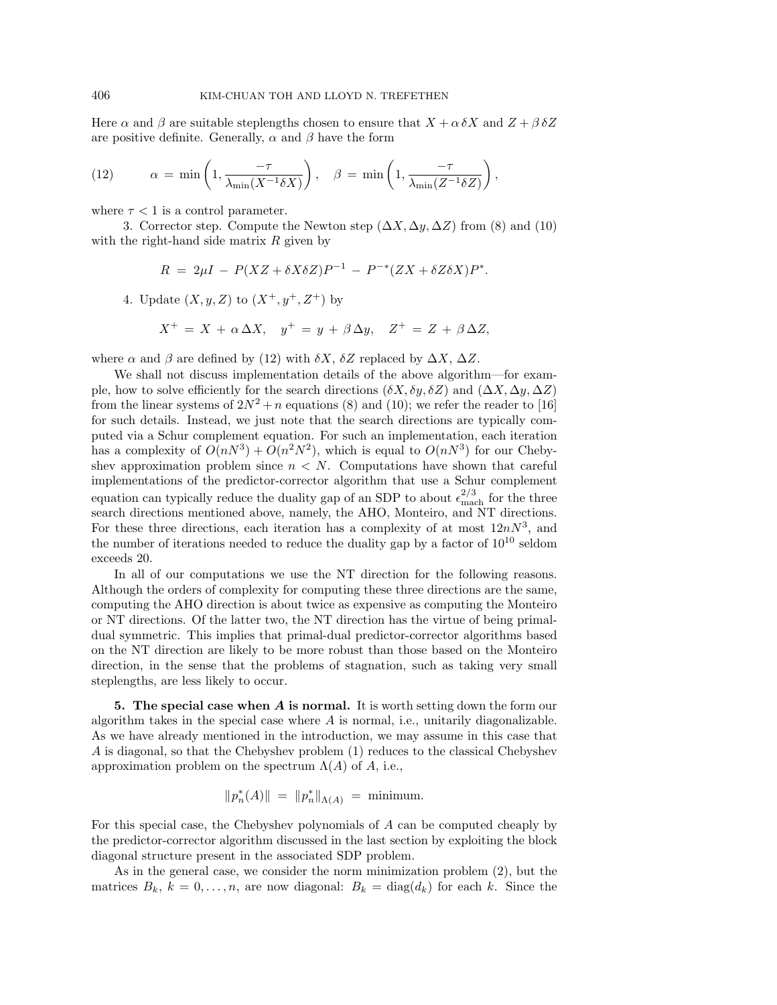Here  $\alpha$  and  $\beta$  are suitable steplengths chosen to ensure that  $X + \alpha \delta X$  and  $Z + \beta \delta Z$ are positive definite. Generally,  $\alpha$  and  $\beta$  have the form

(12) 
$$
\alpha = \min\left(1, \frac{-\tau}{\lambda_{\min}(X^{-1}\delta X)}\right), \quad \beta = \min\left(1, \frac{-\tau}{\lambda_{\min}(Z^{-1}\delta Z)}\right),
$$

where  $\tau < 1$  is a control parameter.

3. Corrector step. Compute the Newton step  $(\Delta X, \Delta y, \Delta Z)$  from (8) and (10) with the right-hand side matrix  $R$  given by

$$
R = 2\mu I - P(XZ + \delta X \delta Z)P^{-1} - P^{-*}(ZX + \delta Z \delta X)P^*.
$$

4. Update  $(X, y, Z)$  to  $(X^+, y^+, Z^+)$  by

$$
X^+ = X + \alpha \Delta X, \quad y^+ = y + \beta \Delta y, \quad Z^+ = Z + \beta \Delta Z,
$$

where  $\alpha$  and  $\beta$  are defined by (12) with  $\delta X$ ,  $\delta Z$  replaced by  $\Delta X$ ,  $\Delta Z$ .

We shall not discuss implementation details of the above algorithm—for example, how to solve efficiently for the search directions  $(\delta X, \delta y, \delta Z)$  and  $(\Delta X, \Delta y, \Delta Z)$ from the linear systems of  $2N^2 + n$  equations (8) and (10); we refer the reader to [16] for such details. Instead, we just note that the search directions are typically computed via a Schur complement equation. For such an implementation, each iteration has a complexity of  $O(nN^3) + O(n^2N^2)$ , which is equal to  $O(nN^3)$  for our Chebyshev approximation problem since  $n < N$ . Computations have shown that careful implementations of the predictor-corrector algorithm that use a Schur complement equation can typically reduce the duality gap of an SDP to about  $\epsilon_{\text{mach}}^{2/3}$  for the three search directions mentioned above, namely, the AHO, Monteiro, and NT directions. For these three directions, each iteration has a complexity of at most  $12nN^3$ , and the number of iterations needed to reduce the duality gap by a factor of  $10^{10}$  seldom exceeds 20.

In all of our computations we use the NT direction for the following reasons. Although the orders of complexity for computing these three directions are the same, computing the AHO direction is about twice as expensive as computing the Monteiro or NT directions. Of the latter two, the NT direction has the virtue of being primaldual symmetric. This implies that primal-dual predictor-corrector algorithms based on the NT direction are likely to be more robust than those based on the Monteiro direction, in the sense that the problems of stagnation, such as taking very small steplengths, are less likely to occur.

**5. The special case when** *A* **is normal.** It is worth setting down the form our algorithm takes in the special case where  $A$  is normal, i.e., unitarily diagonalizable. As we have already mentioned in the introduction, we may assume in this case that A is diagonal, so that the Chebyshev problem (1) reduces to the classical Chebyshev approximation problem on the spectrum  $\Lambda(A)$  of A, i.e.,

$$
||p_n^*(A)|| = ||p_n^*||_{\Lambda(A)} = \text{minimum}.
$$

For this special case, the Chebyshev polynomials of A can be computed cheaply by the predictor-corrector algorithm discussed in the last section by exploiting the block diagonal structure present in the associated SDP problem.

As in the general case, we consider the norm minimization problem (2), but the matrices  $B_k$ ,  $k = 0, \ldots, n$ , are now diagonal:  $B_k = \text{diag}(d_k)$  for each k. Since the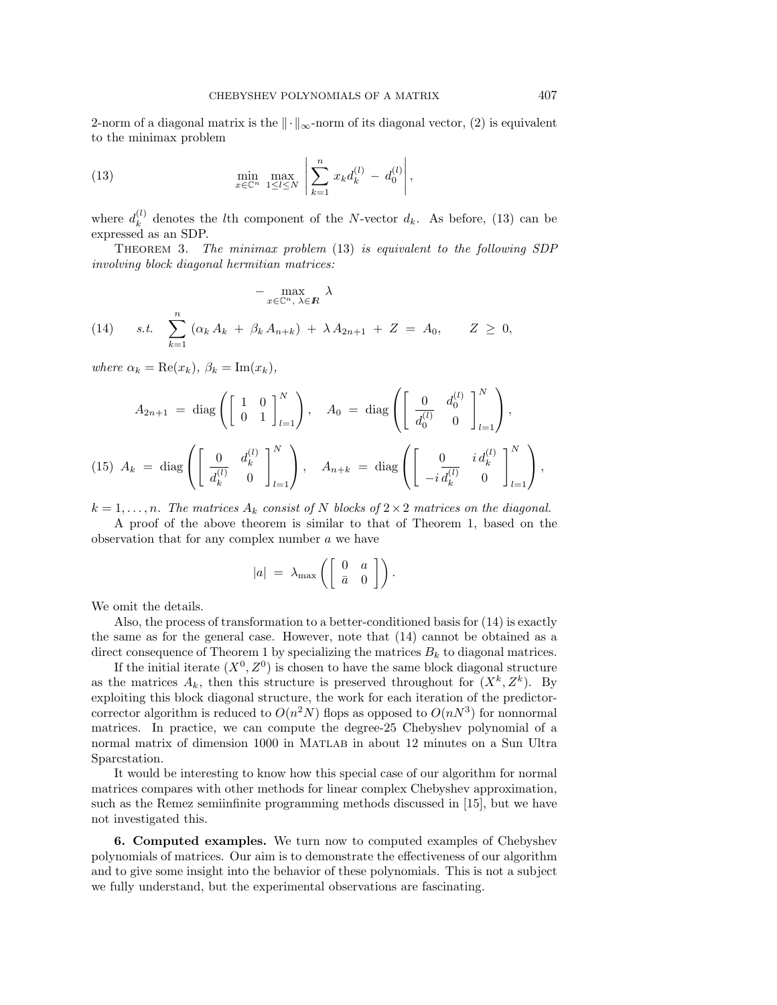2-norm of a diagonal matrix is the  $\|\cdot\|_{\infty}$ -norm of its diagonal vector, (2) is equivalent to the minimax problem

(13) 
$$
\min_{x \in \mathbb{C}^n} \max_{1 \leq l \leq N} \left| \sum_{k=1}^n x_k d_k^{(l)} - d_0^{(l)} \right|,
$$

where  $d_k^{(l)}$  denotes the *l*th component of the *N*-vector  $d_k$ . As before, (13) can be expressed as an SDP.

Theorem 3. The minimax problem (13) is equivalent to the following SDP involving block diagonal hermitian matrices:

$$
-\max_{x \in \mathbb{C}^n, \lambda \in \mathbb{R}} \lambda
$$
  
(14) s.t. 
$$
\sum_{k=1}^n (\alpha_k A_k + \beta_k A_{n+k}) + \lambda A_{2n+1} + Z = A_0, \quad Z \ge 0,
$$

where  $\alpha_k = \text{Re}(x_k)$ ,  $\beta_k = \text{Im}(x_k)$ ,

$$
A_{2n+1} = \text{diag}\left(\begin{bmatrix} 1 & 0 \\ 0 & 1 \end{bmatrix}_{l=1}^{N}\right), \quad A_{0} = \text{diag}\left(\begin{bmatrix} 0 & d_{0}^{(l)} \\ \overline{d_{0}^{(l)}} & 0 \end{bmatrix}_{l=1}^{N}\right),
$$
  
(15)  $A_{k} = \text{diag}\left(\begin{bmatrix} 0 & d_{k}^{(l)} \\ \overline{d_{k}^{(l)}} & 0 \end{bmatrix}_{l=1}^{N}\right), \quad A_{n+k} = \text{diag}\left(\begin{bmatrix} 0 & i d_{k}^{(l)} \\ -i \overline{d_{k}^{(l)}} & 0 \end{bmatrix}_{l=1}^{N}\right),$ 

 $k = 1, \ldots, n$ . The matrices  $A_k$  consist of N blocks of  $2 \times 2$  matrices on the diagonal.

A proof of the above theorem is similar to that of Theorem 1, based on the observation that for any complex number  $a$  we have

$$
|a| = \lambda_{\max}\left(\left[\begin{array}{cc} 0 & a \\ \bar{a} & 0 \end{array}\right]\right).
$$

We omit the details.

Also, the process of transformation to a better-conditioned basis for (14) is exactly the same as for the general case. However, note that (14) cannot be obtained as a direct consequence of Theorem 1 by specializing the matrices  $B_k$  to diagonal matrices.

If the initial iterate  $(X^0, Z^0)$  is chosen to have the same block diagonal structure as the matrices  $A_k$ , then this structure is preserved throughout for  $(X^k, Z^k)$ . By exploiting this block diagonal structure, the work for each iteration of the predictorcorrector algorithm is reduced to  $O(n^2N)$  flops as opposed to  $O(n^3)$  for nonnormal matrices. In practice, we can compute the degree-25 Chebyshev polynomial of a normal matrix of dimension 1000 in MATLAB in about 12 minutes on a Sun Ultra Sparcstation.

It would be interesting to know how this special case of our algorithm for normal matrices compares with other methods for linear complex Chebyshev approximation, such as the Remez semiinfinite programming methods discussed in [15], but we have not investigated this.

**6. Computed examples.** We turn now to computed examples of Chebyshev polynomials of matrices. Our aim is to demonstrate the effectiveness of our algorithm and to give some insight into the behavior of these polynomials. This is not a subject we fully understand, but the experimental observations are fascinating.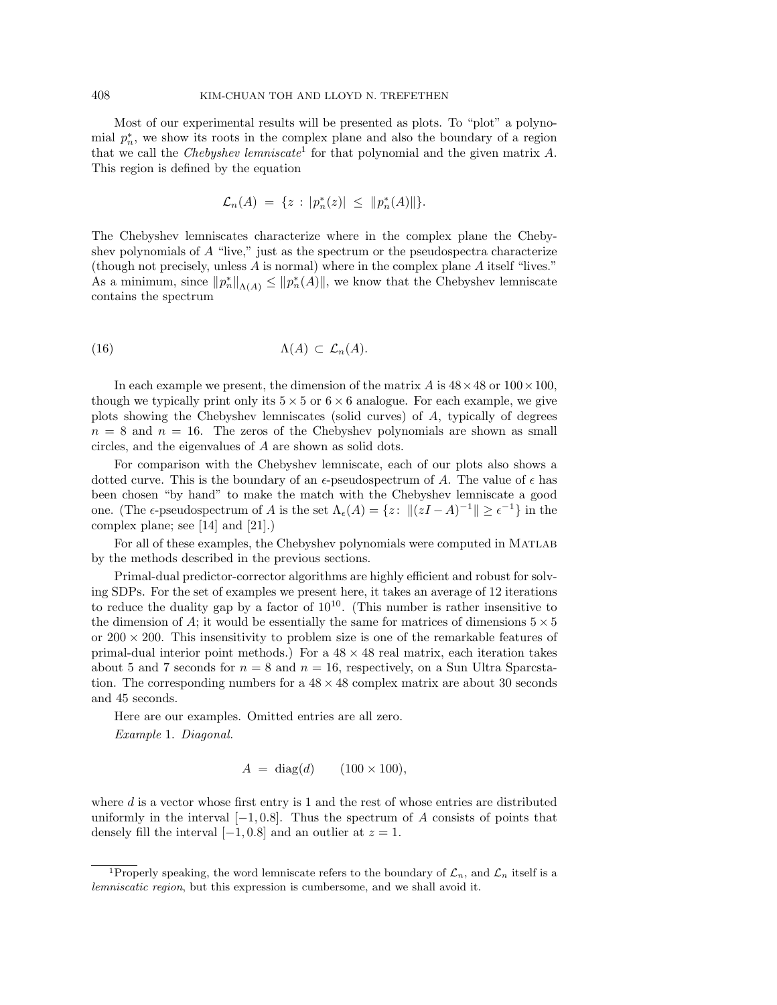Most of our experimental results will be presented as plots. To "plot" a polynomial  $p_n^*$ , we show its roots in the complex plane and also the boundary of a region that we call the Chebyshev lemniscate<sup>1</sup> for that polynomial and the given matrix  $A$ . This region is defined by the equation

$$
\mathcal{L}_n(A) = \{ z : |p_n^*(z)| \leq ||p_n^*(A)|| \}.
$$

The Chebyshev lemniscates characterize where in the complex plane the Chebyshev polynomials of A "live," just as the spectrum or the pseudospectra characterize (though not precisely, unless A is normal) where in the complex plane A itself "lives." As a minimum, since  $||p_n^*||_{\Lambda(A)} \leq ||p_n^*(A)||$ , we know that the Chebyshev lemniscate contains the spectrum

(16) Λ(A) ⊂ Ln(A).

In each example we present, the dimension of the matrix A is  $48 \times 48$  or  $100 \times 100$ , though we typically print only its  $5 \times 5$  or  $6 \times 6$  analogue. For each example, we give plots showing the Chebyshev lemniscates (solid curves) of A, typically of degrees  $n = 8$  and  $n = 16$ . The zeros of the Chebyshev polynomials are shown as small circles, and the eigenvalues of A are shown as solid dots.

For comparison with the Chebyshev lemniscate, each of our plots also shows a dotted curve. This is the boundary of an  $\epsilon$ -pseudospectrum of A. The value of  $\epsilon$  has been chosen "by hand" to make the match with the Chebyshev lemniscate a good one. (The  $\epsilon$ -pseudospectrum of A is the set  $\Lambda_{\epsilon}(A) = \{z: ||(zI - A)^{-1}|| \geq \epsilon^{-1}\}\$ in the complex plane; see [14] and [21].)

For all of these examples, the Chebyshev polynomials were computed in Matlab by the methods described in the previous sections.

Primal-dual predictor-corrector algorithms are highly efficient and robust for solving SDPs. For the set of examples we present here, it takes an average of 12 iterations to reduce the duality gap by a factor of  $10^{10}$ . (This number is rather insensitive to the dimension of A; it would be essentially the same for matrices of dimensions  $5 \times 5$ or  $200 \times 200$ . This insensitivity to problem size is one of the remarkable features of primal-dual interior point methods.) For a  $48 \times 48$  real matrix, each iteration takes about 5 and 7 seconds for  $n = 8$  and  $n = 16$ , respectively, on a Sun Ultra Sparcstation. The corresponding numbers for a  $48 \times 48$  complex matrix are about 30 seconds and 45 seconds.

Here are our examples. Omitted entries are all zero. Example 1. Diagonal.

$$
A = \text{diag}(d) \qquad (100 \times 100),
$$

where  $d$  is a vector whose first entry is 1 and the rest of whose entries are distributed uniformly in the interval  $[-1, 0.8]$ . Thus the spectrum of A consists of points that densely fill the interval  $[-1, 0.8]$  and an outlier at  $z = 1$ .

<sup>&</sup>lt;sup>1</sup>Properly speaking, the word lemniscate refers to the boundary of  $\mathcal{L}_n$ , and  $\mathcal{L}_n$  itself is a lemniscatic region, but this expression is cumbersome, and we shall avoid it.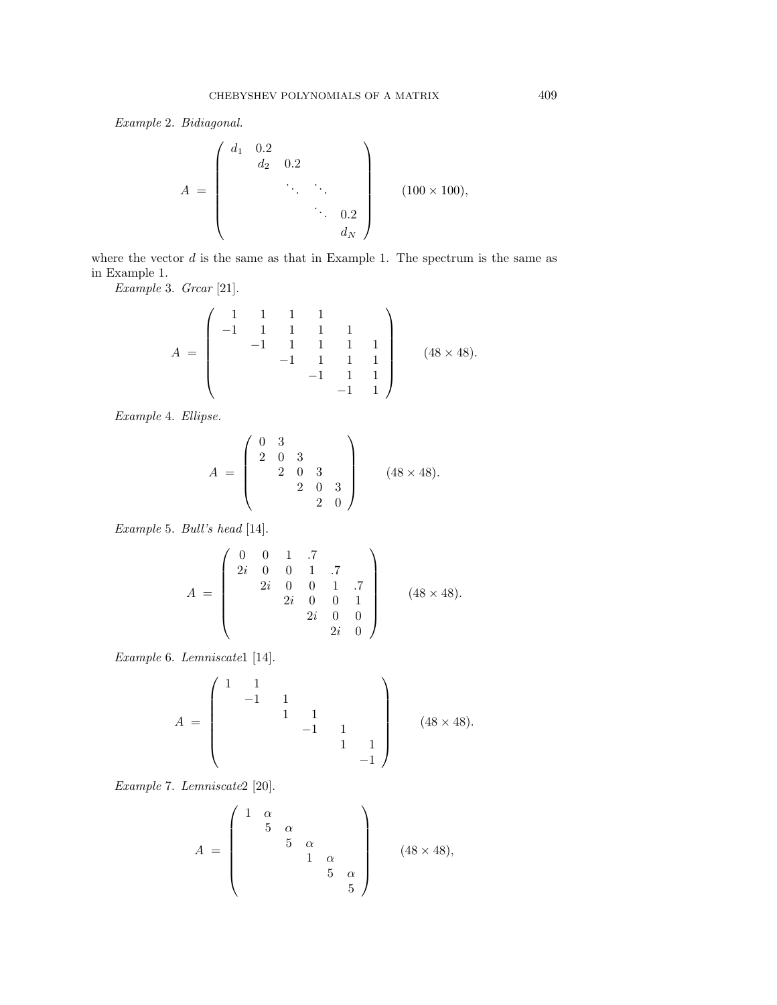Example 2. Bidiagonal.

$$
A = \begin{pmatrix} d_1 & 0.2 & & & \\ & d_2 & 0.2 & & \\ & & \ddots & \ddots & \\ & & & \ddots & 0.2 \\ & & & & d_N \end{pmatrix}
$$
 (100 × 100),

where the vector  $d$  is the same as that in Example 1. The spectrum is the same as in Example 1.

Example 3. Grear [21].

$$
A = \begin{pmatrix} 1 & 1 & 1 & 1 & 1 \\ -1 & 1 & 1 & 1 & 1 \\ & -1 & 1 & 1 & 1 & 1 \\ & & -1 & 1 & 1 & 1 \\ & & & -1 & 1 & 1 \\ & & & & -1 & 1 \end{pmatrix}
$$
 (48 × 48).

Example 4. Ellipse.

$$
A = \begin{pmatrix} 0 & 3 \\ 2 & 0 & 3 \\ & 2 & 0 & 3 \\ & & 2 & 0 & 3 \\ & & & 2 & 0 \end{pmatrix}
$$
 (48 × 48).

Example 5. Bull's head [14].

$$
A = \begin{pmatrix} 0 & 0 & 1 & .7 \\ 2i & 0 & 0 & 1 & .7 \\ 2i & 0 & 0 & 1 & .7 \\ 2i & 0 & 0 & 1 & \\ 2i & 0 & 0 & 1 & \\ 2i & 0 & 0 & 2i & 0 \end{pmatrix}
$$
 (48 × 48).

Example 6. Lemniscate1 [14].

$$
A = \begin{pmatrix} 1 & 1 & & & & \\ & -1 & 1 & & & \\ & & 1 & 1 & & \\ & & & -1 & 1 & \\ & & & & 1 & 1 \\ & & & & & -1 \end{pmatrix}
$$
 (48 × 48).

Example 7. Lemniscate2 [20].

$$
A = \begin{pmatrix} 1 & \alpha & & & \\ & 5 & \alpha & & \\ & & 5 & \alpha & \\ & & & 1 & \alpha \\ & & & & 5 & \alpha \\ & & & & & 5 \end{pmatrix}
$$
 (48 × 48),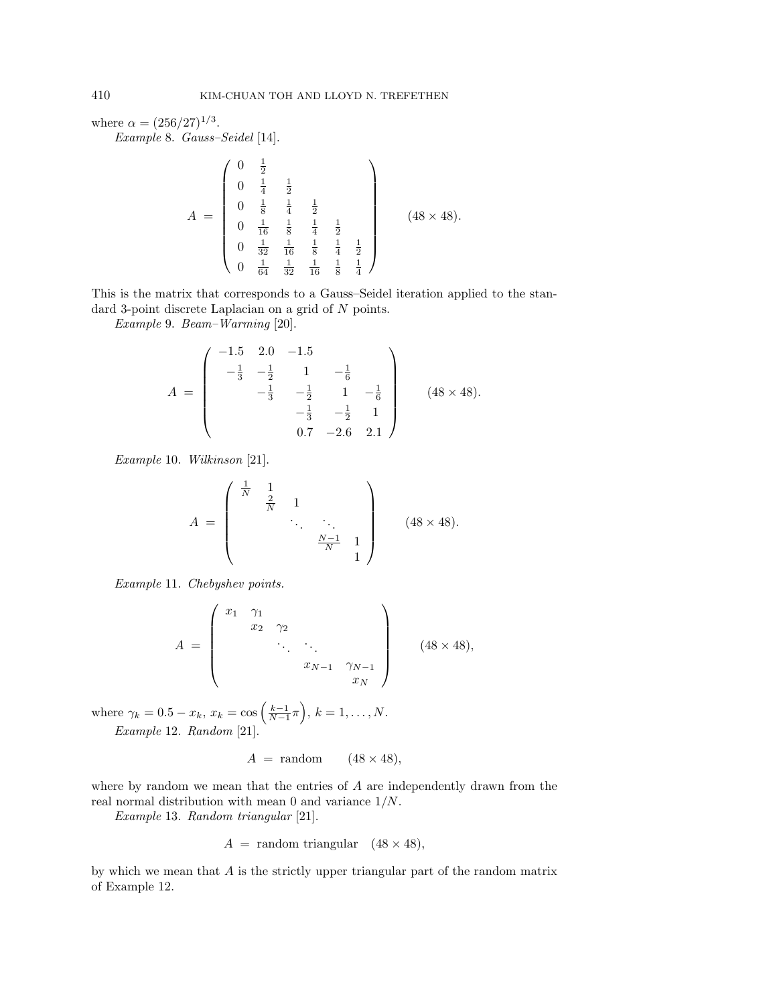where  $\alpha = (256/27)^{1/3}$ .

Example 8. Gauss–Seidel [14].

$$
A = \begin{pmatrix} 0 & \frac{1}{2} \\ 0 & \frac{1}{4} & \frac{1}{2} \\ 0 & \frac{1}{8} & \frac{1}{4} & \frac{1}{2} \\ 0 & \frac{1}{16} & \frac{1}{8} & \frac{1}{4} & \frac{1}{2} \\ 0 & \frac{1}{32} & \frac{1}{16} & \frac{1}{8} & \frac{1}{4} & \frac{1}{2} \\ 0 & \frac{1}{64} & \frac{1}{32} & \frac{1}{16} & \frac{1}{8} & \frac{1}{4} \end{pmatrix}
$$
(48 × 48).

This is the matrix that corresponds to a Gauss–Seidel iteration applied to the standard 3-point discrete Laplacian on a grid of N points.

Example 9. Beam–Warming [20].

$$
A = \begin{pmatrix} -1.5 & 2.0 & -1.5 \\ -\frac{1}{3} & -\frac{1}{2} & 1 & -\frac{1}{6} \\ -\frac{1}{3} & -\frac{1}{2} & 1 & -\frac{1}{6} \\ -\frac{1}{3} & -\frac{1}{2} & 1 \\ 0.7 & -2.6 & 2.1 \end{pmatrix}
$$
 (48 x 48).

Example 10. Wilkinson [21].

$$
A = \begin{pmatrix} \frac{1}{N} & 1 & & & \\ & \frac{2}{N} & 1 & & \\ & & \ddots & \ddots & \\ & & & \frac{N-1}{N} & 1 \\ & & & & 1 \end{pmatrix}
$$
 (48 × 48).

Example 11. Chebyshev points.

$$
A = \begin{pmatrix} x_1 & \gamma_1 & & & \\ & x_2 & \gamma_2 & & \\ & & \ddots & \ddots & \\ & & & x_{N-1} & \gamma_{N-1} \\ & & & & x_N \end{pmatrix}
$$
 (48 × 48),

where  $\gamma_k = 0.5 - x_k$ ,  $x_k = \cos\left(\frac{k-1}{N-1}\pi\right)$ ,  $k = 1, ..., N$ . Example 12. Random [21].

$$
A = \text{random} \qquad (48 \times 48),
$$

where by random we mean that the entries of A are independently drawn from the real normal distribution with mean 0 and variance 1/N.

Example 13. Random triangular [21].

$$
A = \text{random triangular} \quad (48 \times 48),
$$

by which we mean that A is the strictly upper triangular part of the random matrix of Example 12.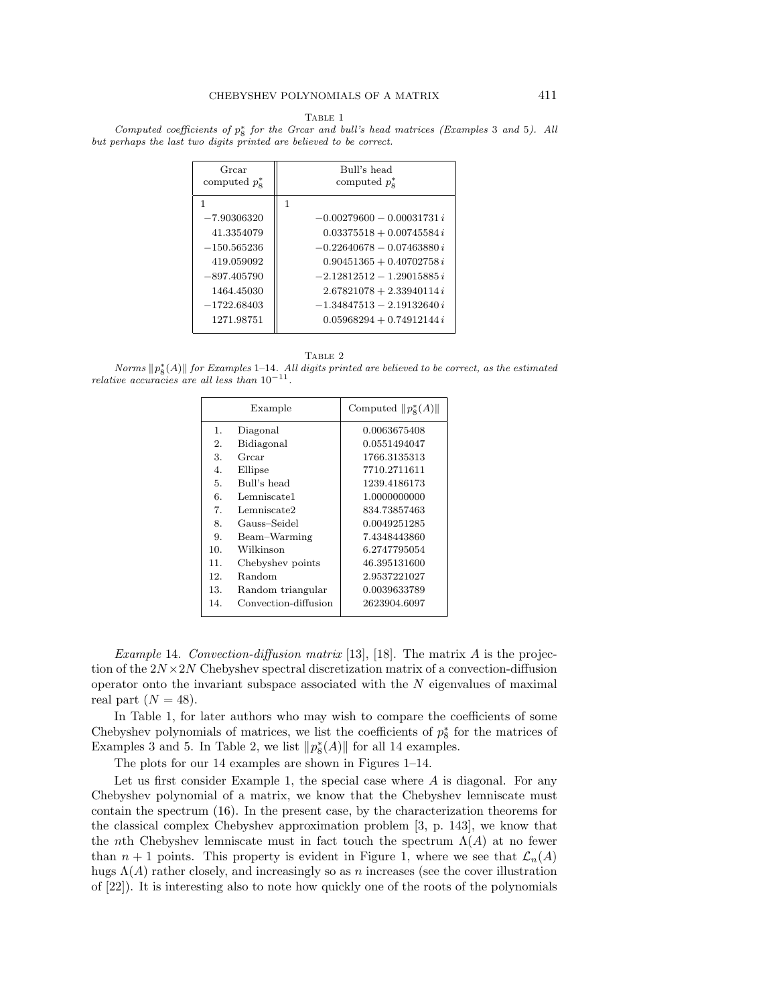Computed coefficients of  $p^*_{8}$  for the Grear and bull's head matrices (Examples 3 and 5). All but perhaps the last two digits printed are believed to be correct.

| Grear<br>computed $p_{\rm s}^*$ | Bull's head<br>computed $p_{\rm s}^*$ |  |
|---------------------------------|---------------------------------------|--|
| 1                               | 1                                     |  |
| $-7.90306320$                   | $-0.00279600 - 0.00031731i$           |  |
| 41.3354079                      | $0.03375518 + 0.00745584 i$           |  |
| $-150.565236$                   | $-0.22640678 - 0.07463880 i$          |  |
| 419.059092                      | $0.90451365 + 0.40702758 i$           |  |
| $-897.405790$                   | $-2.12812512 - 1.29015885i$           |  |
| 1464.45030                      | $2.67821078 + 2.33940114i$            |  |
| $-1722.68403$                   | $-1.34847513 - 2.19132640 i$          |  |
| 1271.98751                      | $0.05968294 + 0.74912144 i$           |  |
|                                 |                                       |  |

TABLE 2

Norms  $||p_{8}^{*}(A)||$  for Examples 1–14. All digits printed are believed to be correct, as the estimated relative accuracies are all less than  $10^{-11}$ .

|     | Example              | Computed $  p_8^*(A)  $ |
|-----|----------------------|-------------------------|
| 1.  | Diagonal             | 0.0063675408            |
| 2.  | Bidiagonal           | 0.0551494047            |
| 3.  | Grear                | 1766.3135313            |
| 4.  | Ellipse              | 7710.2711611            |
| 5.  | Bull's head          | 1239.4186173            |
| 6.  | Lemniscate1          | 1.0000000000            |
| 7.  | Lemniscate2          | 834.73857463            |
| 8.  | Gauss–Seidel         | 0.0049251285            |
| 9.  | Beam-Warming         | 7.4348443860            |
| 10. | Wilkinson            | 6.2747795054            |
| 11. | Chebyshev points     | 46.395131600            |
| 12. | Random               | 2.9537221027            |
| 13. | Random triangular    | 0.0039633789            |
| 14. | Convection-diffusion | 2623904.6097            |

*Example* 14. Convection-diffusion matrix [13], [18]. The matrix A is the projection of the  $2N \times 2N$  Chebyshev spectral discretization matrix of a convection-diffusion operator onto the invariant subspace associated with the  $N$  eigenvalues of maximal real part  $(N = 48)$ .

In Table 1, for later authors who may wish to compare the coefficients of some Chebyshev polynomials of matrices, we list the coefficients of  $p_8^*$  for the matrices of Examples 3 and 5. In Table 2, we list  $||p_8^*(A)||$  for all 14 examples.

The plots for our 14 examples are shown in Figures 1–14.

Let us first consider Example 1, the special case where  $A$  is diagonal. For any Chebyshev polynomial of a matrix, we know that the Chebyshev lemniscate must contain the spectrum (16). In the present case, by the characterization theorems for the classical complex Chebyshev approximation problem [3, p. 143], we know that the nth Chebyshev lemniscate must in fact touch the spectrum  $\Lambda(A)$  at no fewer than  $n + 1$  points. This property is evident in Figure 1, where we see that  $\mathcal{L}_n(A)$ hugs  $\Lambda(A)$  rather closely, and increasingly so as n increases (see the cover illustration of [22]). It is interesting also to note how quickly one of the roots of the polynomials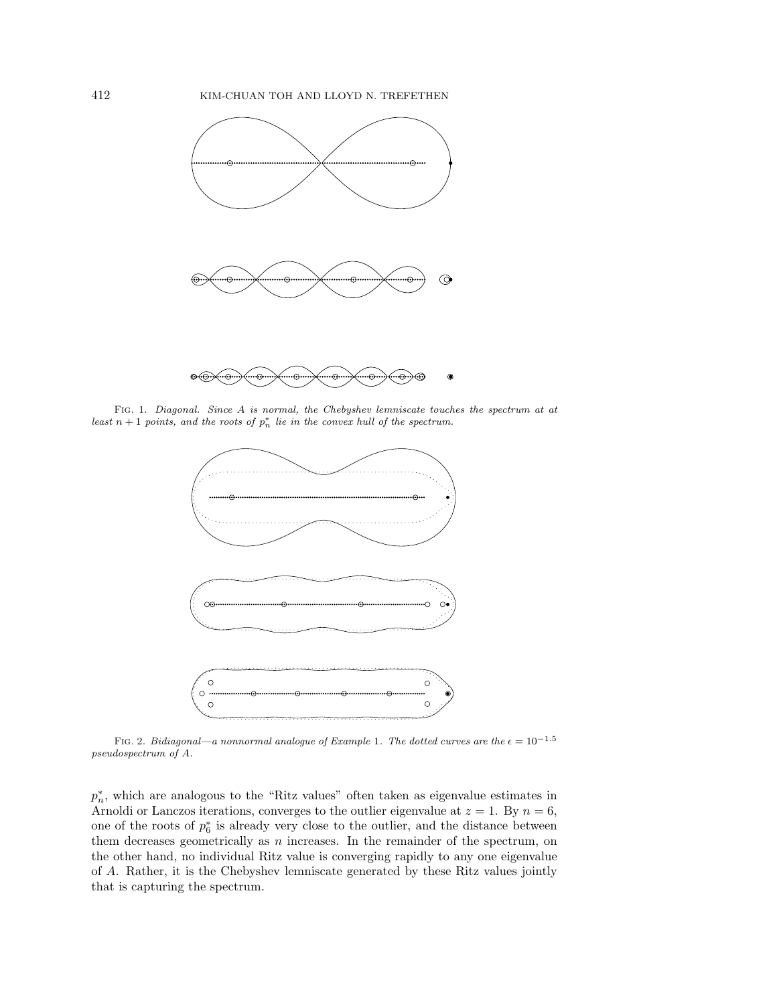

Fig. 1. Diagonal. Since A is normal, the Chebyshev lemniscate touches the spectrum at at least  $n + 1$  points, and the roots of  $p_n^*$  lie in the convex hull of the spectrum.



FIG. 2. Bidiagonal—a nonnormal analogue of Example 1. The dotted curves are the  $\epsilon = 10^{-1.5}$ pseudospectrum of A.

 $p_n^*$ , which are analogous to the "Ritz values" often taken as eigenvalue estimates in Arnoldi or Lanczos iterations, converges to the outlier eigenvalue at  $z = 1$ . By  $n = 6$ , one of the roots of  $p_6^*$  is already very close to the outlier, and the distance between them decreases geometrically as  $n$  increases. In the remainder of the spectrum, on the other hand, no individual Ritz value is converging rapidly to any one eigenvalue of A. Rather, it is the Chebyshev lemniscate generated by these Ritz values jointly that is capturing the spectrum.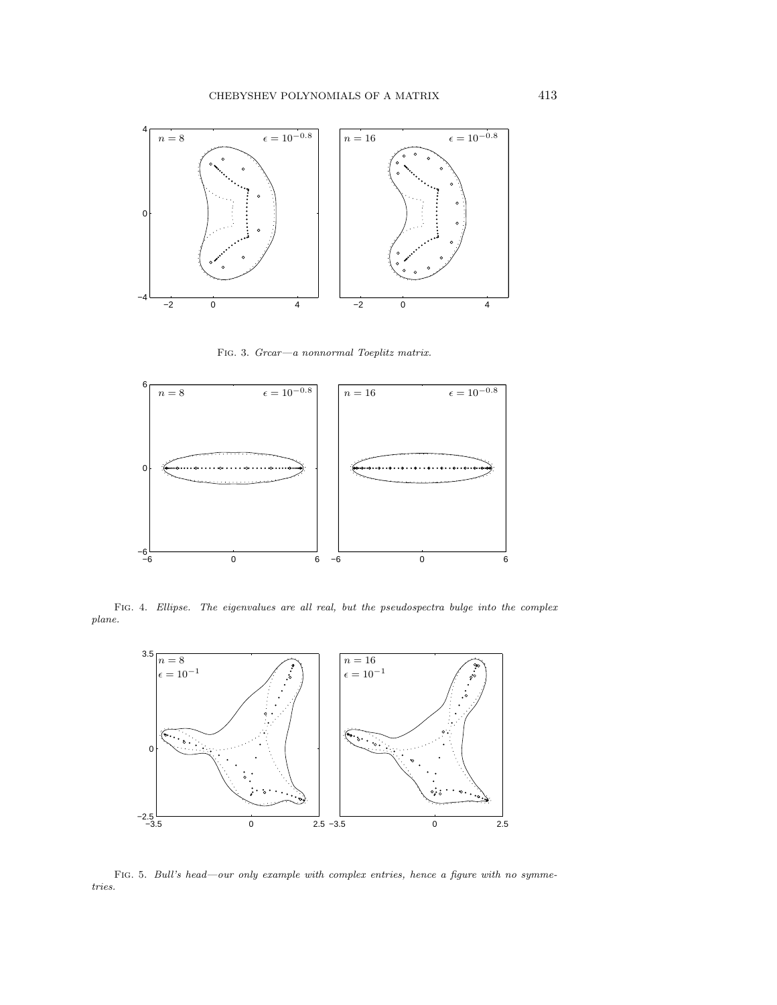

Fig. 3. Grcar—a nonnormal Toeplitz matrix.



FIG. 4. Ellipse. The eigenvalues are all real, but the pseudospectra bulge into the complex plane.



FIG. 5. Bull's head—our only example with complex entries, hence a figure with no symmetries.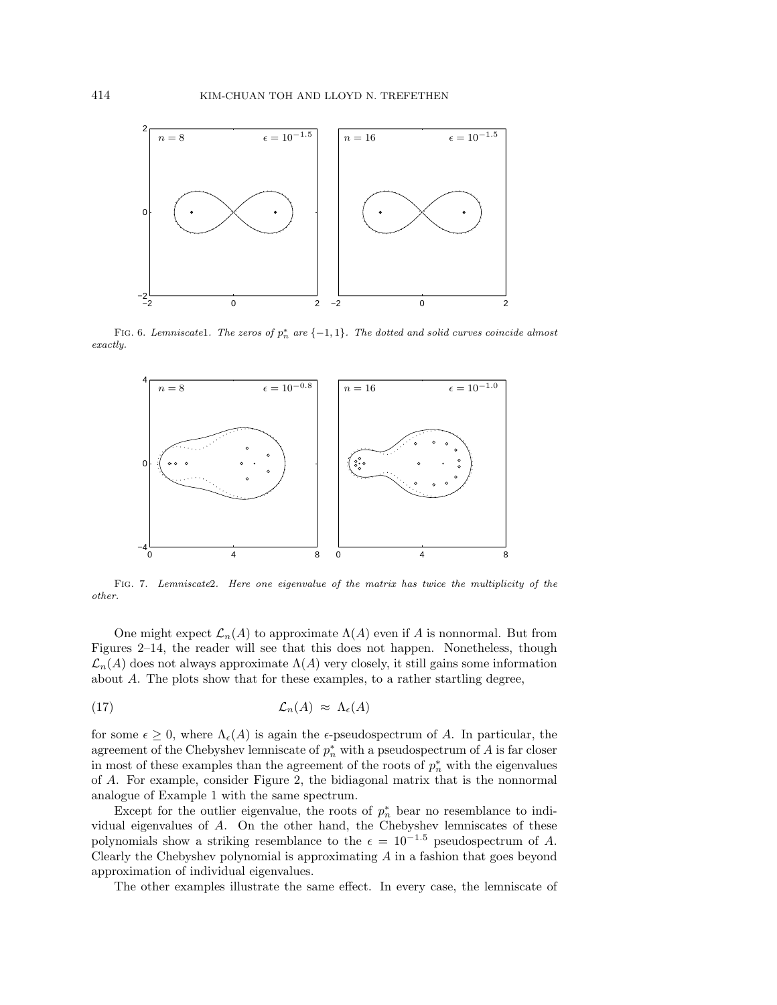

FIG. 6. Lemniscatel. The zeros of  $p_n^*$  are  $\{-1,1\}$ . The dotted and solid curves coincide almost exactly.



Fig. 7. Lemniscate2. Here one eigenvalue of the matrix has twice the multiplicity of the other.

One might expect  $\mathcal{L}_n(A)$  to approximate  $\Lambda(A)$  even if A is nonnormal. But from Figures 2–14, the reader will see that this does not happen. Nonetheless, though  $\mathcal{L}_n(A)$  does not always approximate  $\Lambda(A)$  very closely, it still gains some information about A. The plots show that for these examples, to a rather startling degree,

$$
(17) \t\t\t\t\mathcal{L}_n(A) \approx \Lambda_{\epsilon}(A)
$$

for some  $\epsilon \geq 0$ , where  $\Lambda_{\epsilon}(A)$  is again the  $\epsilon$ -pseudospectrum of A. In particular, the agreement of the Chebyshev lemniscate of  $p_n^*$  with a pseudospectrum of A is far closer in most of these examples than the agreement of the roots of  $p_n^*$  with the eigenvalues of A. For example, consider Figure 2, the bidiagonal matrix that is the nonnormal analogue of Example 1 with the same spectrum.

Except for the outlier eigenvalue, the roots of  $p_n^*$  bear no resemblance to individual eigenvalues of A. On the other hand, the Chebyshev lemniscates of these polynomials show a striking resemblance to the  $\epsilon = 10^{-1.5}$  pseudospectrum of A. Clearly the Chebyshev polynomial is approximating  $A$  in a fashion that goes beyond approximation of individual eigenvalues.

The other examples illustrate the same effect. In every case, the lemniscate of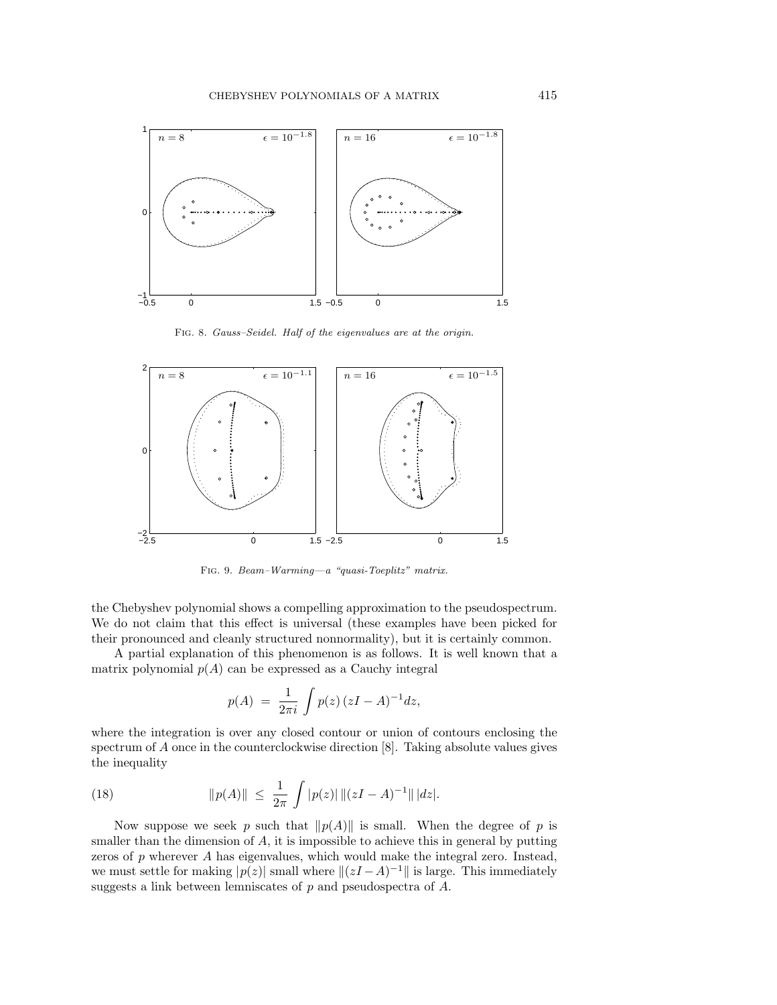

Fig. 8. Gauss–Seidel. Half of the eigenvalues are at the origin.



Fig. 9. Beam–Warming—a "quasi-Toeplitz" matrix.

the Chebyshev polynomial shows a compelling approximation to the pseudospectrum. We do not claim that this effect is universal (these examples have been picked for their pronounced and cleanly structured nonnormality), but it is certainly common.

A partial explanation of this phenomenon is as follows. It is well known that a matrix polynomial  $p(A)$  can be expressed as a Cauchy integral

$$
p(A) = \frac{1}{2\pi i} \int p(z) (zI - A)^{-1} dz,
$$

where the integration is over any closed contour or union of contours enclosing the spectrum of  $A$  once in the counterclockwise direction  $[8]$ . Taking absolute values gives the inequality

(18) 
$$
\|p(A)\| \leq \frac{1}{2\pi} \int |p(z)| \|(zI - A)^{-1}\| |dz|.
$$

Now suppose we seek p such that  $||p(A)||$  is small. When the degree of p is smaller than the dimension of  $A$ , it is impossible to achieve this in general by putting zeros of  $p$  wherever  $A$  has eigenvalues, which would make the integral zero. Instead, we must settle for making  $|p(z)|$  small where  $||(zI - A)^{-1}||$  is large. This immediately suggests a link between lemniscates of p and pseudospectra of A.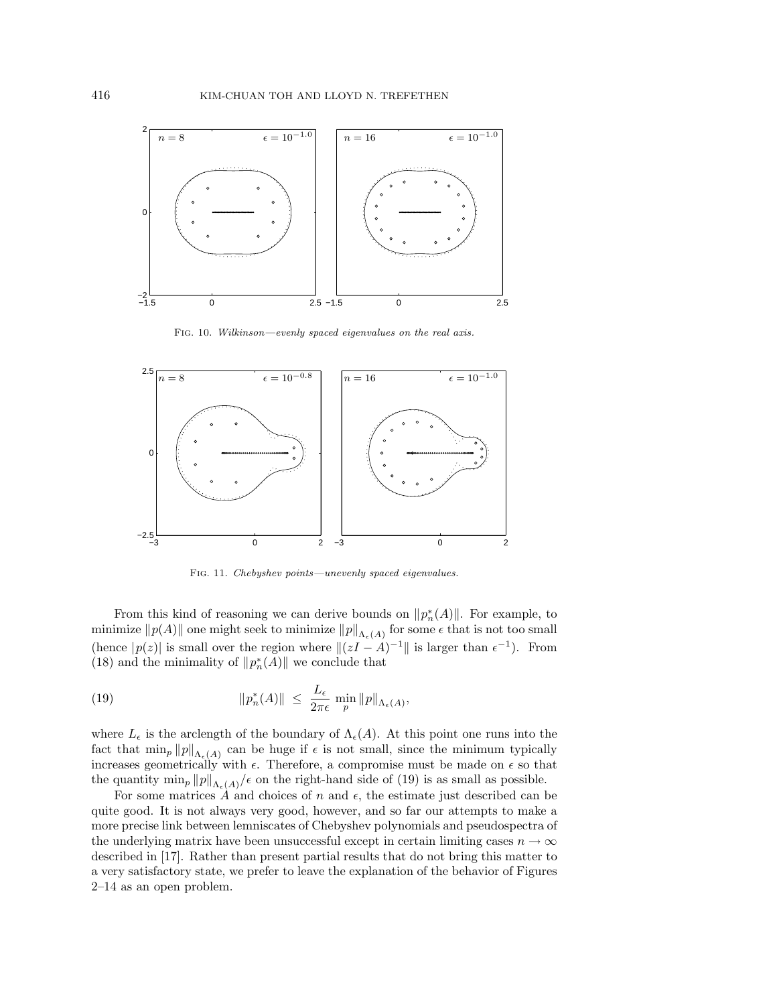

Fig. 10. Wilkinson—evenly spaced eigenvalues on the real axis.



Fig. 11. Chebyshev points—unevenly spaced eigenvalues.

From this kind of reasoning we can derive bounds on  $||p_n^*(A)||$ . For example, to minimize  $||p(A)||$  one might seek to minimize  $||p||_{\Lambda_{\epsilon}(A)}$  for some  $\epsilon$  that is not too small (hence  $|p(z)|$  is small over the region where  $||(zI - A)^{-1}||$  is larger than  $\epsilon^{-1}$ ). From (18) and the minimality of  $||p_n^*(A)||$  we conclude that

(19) 
$$
\|p_n^*(A)\| \leq \frac{L_{\epsilon}}{2\pi\epsilon} \min_p \|p\|_{\Lambda_{\epsilon}(A)},
$$

where  $L_{\epsilon}$  is the arclength of the boundary of  $\Lambda_{\epsilon}(A)$ . At this point one runs into the fact that  $\min_p ||p||_{\Lambda_{\epsilon}(A)}$  can be huge if  $\epsilon$  is not small, since the minimum typically increases geometrically with  $\epsilon$ . Therefore, a compromise must be made on  $\epsilon$  so that the quantity  $\min_p ||p||_{\Lambda_{\epsilon}(A)}/\epsilon$  on the right-hand side of (19) is as small as possible.

For some matrices  $A$  and choices of n and  $\epsilon$ , the estimate just described can be quite good. It is not always very good, however, and so far our attempts to make a more precise link between lemniscates of Chebyshev polynomials and pseudospectra of the underlying matrix have been unsuccessful except in certain limiting cases  $n \to \infty$ described in [17]. Rather than present partial results that do not bring this matter to a very satisfactory state, we prefer to leave the explanation of the behavior of Figures 2–14 as an open problem.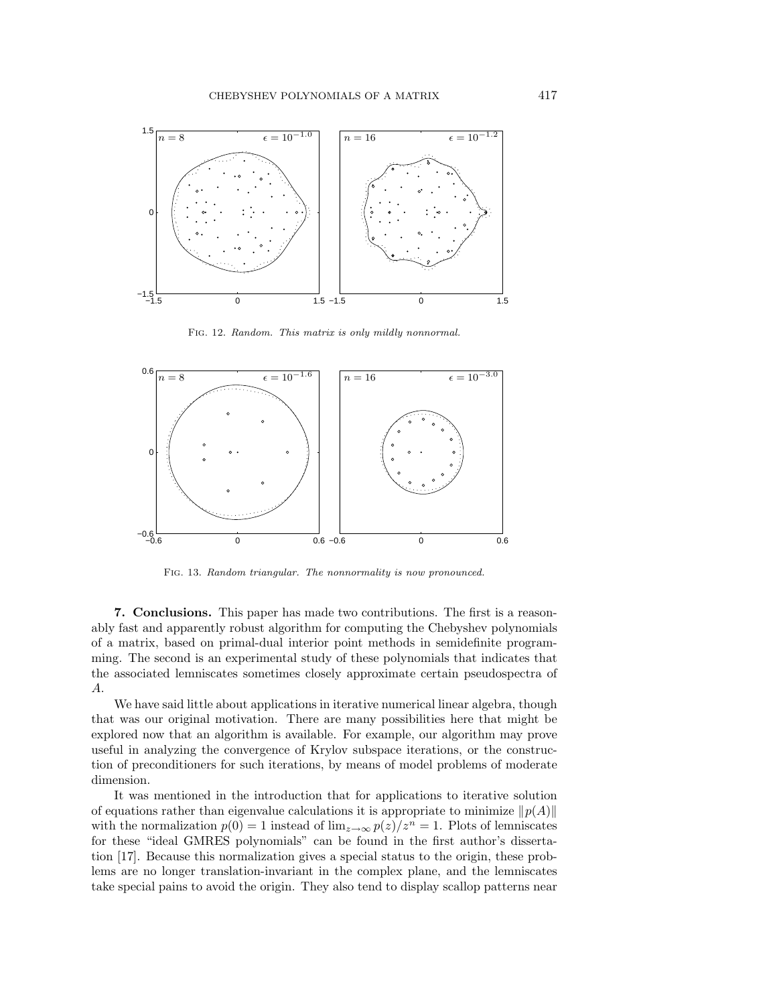

Fig. 12. Random. This matrix is only mildly nonnormal.



Fig. 13. Random triangular. The nonnormality is now pronounced.

**7. Conclusions.** This paper has made two contributions. The first is a reasonably fast and apparently robust algorithm for computing the Chebyshev polynomials of a matrix, based on primal-dual interior point methods in semidefinite programming. The second is an experimental study of these polynomials that indicates that the associated lemniscates sometimes closely approximate certain pseudospectra of A.

We have said little about applications in iterative numerical linear algebra, though that was our original motivation. There are many possibilities here that might be explored now that an algorithm is available. For example, our algorithm may prove useful in analyzing the convergence of Krylov subspace iterations, or the construction of preconditioners for such iterations, by means of model problems of moderate dimension.

It was mentioned in the introduction that for applications to iterative solution of equations rather than eigenvalue calculations it is appropriate to minimize  $\|p(A)\|$ with the normalization  $p(0) = 1$  instead of  $\lim_{z\to\infty} p(z)/z^n = 1$ . Plots of lemniscates for these "ideal GMRES polynomials" can be found in the first author's dissertation [17]. Because this normalization gives a special status to the origin, these problems are no longer translation-invariant in the complex plane, and the lemniscates take special pains to avoid the origin. They also tend to display scallop patterns near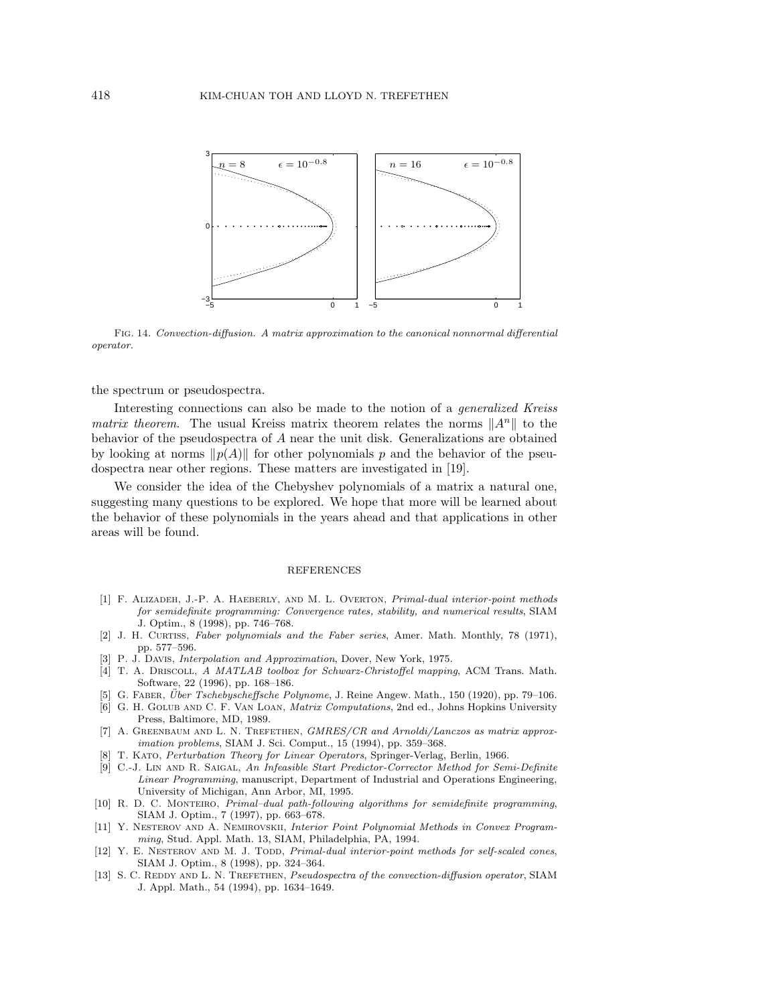

Fig. 14. Convection-diffusion. A matrix approximation to the canonical nonnormal differential operator.

the spectrum or pseudospectra.

Interesting connections can also be made to the notion of a generalized Kreiss matrix theorem. The usual Kreiss matrix theorem relates the norms  $||A^n||$  to the behavior of the pseudospectra of A near the unit disk. Generalizations are obtained by looking at norms  $\|p(A)\|$  for other polynomials p and the behavior of the pseudospectra near other regions. These matters are investigated in [19].

We consider the idea of the Chebyshev polynomials of a matrix a natural one, suggesting many questions to be explored. We hope that more will be learned about the behavior of these polynomials in the years ahead and that applications in other areas will be found.

## **REFERENCES**

- [1] F. ALIZADEH, J.-P. A. HAEBERLY, AND M. L. OVERTON, Primal-dual interior-point methods for semidefinite programming: Convergence rates, stability, and numerical results, SIAM J. Optim., 8 (1998), pp. 746–768.
- [2] J. H. CURTISS, Faber polynomials and the Faber series, Amer. Math. Monthly, 78 (1971), pp. 577–596.
- [3] P. J. Davis, Interpolation and Approximation, Dover, New York, 1975.
- [4] T. A. DRISCOLL, A MATLAB toolbox for Schwarz-Christoffel mapping, ACM Trans. Math. Software, 22 (1996), pp. 168–186.
- [5] G. FABER, *Über Tschebyscheffsche Polynome*, J. Reine Angew. Math., 150 (1920), pp. 79–106.
- [6] G. H. GOLUB AND C. F. VAN LOAN, *Matrix Computations*, 2nd ed., Johns Hopkins University Press, Baltimore, MD, 1989.
- [7] A. GREENBAUM AND L. N. TREFETHEN, GMRES/CR and Arnoldi/Lanczos as matrix approximation problems, SIAM J. Sci. Comput., 15 (1994), pp. 359–368.
- [8] T. Kato, Perturbation Theory for Linear Operators, Springer-Verlag, Berlin, 1966.
- [9] C.-J. LIN AND R. SAIGAL, An Infeasible Start Predictor-Corrector Method for Semi-Definite Linear Programming, manuscript, Department of Industrial and Operations Engineering, University of Michigan, Ann Arbor, MI, 1995.
- [10] R. D. C. Monteiro, Primal–dual path-following algorithms for semidefinite programming, SIAM J. Optim., 7 (1997), pp. 663–678.
- [11] Y. Nesterov and A. Nemirovskii, Interior Point Polynomial Methods in Convex Programming, Stud. Appl. Math. 13, SIAM, Philadelphia, PA, 1994.
- [12] Y. E. NESTEROV AND M. J. TODD, Primal-dual interior-point methods for self-scaled cones, SIAM J. Optim., 8 (1998), pp. 324–364.
- [13] S. C. REDDY AND L. N. TREFETHEN, *Pseudospectra of the convection-diffusion operator*, SIAM J. Appl. Math., 54 (1994), pp. 1634–1649.